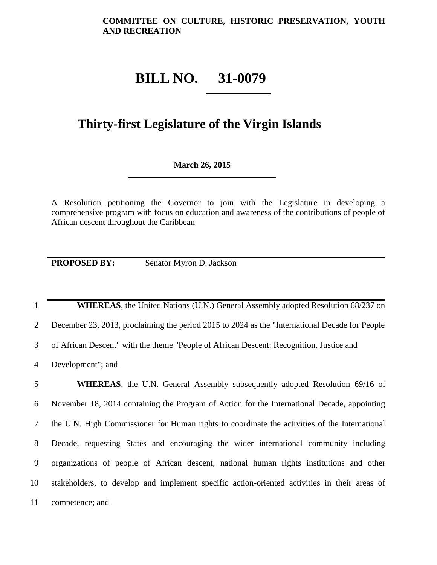## **BILL NO. 31-0079**

## **Thirty-first Legislature of the Virgin Islands**

## **March 26, 2015**

A Resolution petitioning the Governor to join with the Legislature in developing a comprehensive program with focus on education and awareness of the contributions of people of African descent throughout the Caribbean

**PROPOSED BY:** Senator Myron D. Jackson

1 **WHEREAS**, the United Nations (U.N.) General Assembly adopted Resolution 68/237 on

2 December 23, 2013, proclaiming the period 2015 to 2024 as the "International Decade for People

3 of African Descent" with the theme "People of African Descent: Recognition, Justice and

4 Development"; and

 **WHEREAS**, the U.N. General Assembly subsequently adopted Resolution 69/16 of November 18, 2014 containing the Program of Action for the International Decade, appointing the U.N. High Commissioner for Human rights to coordinate the activities of the International Decade, requesting States and encouraging the wider international community including organizations of people of African descent, national human rights institutions and other stakeholders, to develop and implement specific action-oriented activities in their areas of competence; and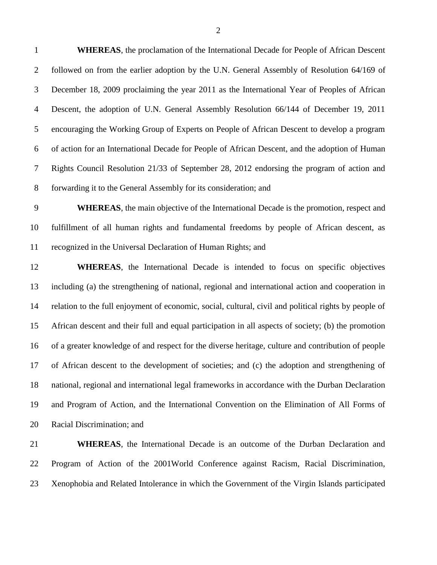**WHEREAS**, the proclamation of the International Decade for People of African Descent followed on from the earlier adoption by the U.N. General Assembly of Resolution 64/169 of December 18, 2009 proclaiming the year 2011 as the International Year of Peoples of African Descent, the adoption of U.N. General Assembly Resolution 66/144 of December 19, 2011 encouraging the Working Group of Experts on People of African Descent to develop a program of action for an International Decade for People of African Descent, and the adoption of Human Rights Council Resolution 21/33 of September 28, 2012 endorsing the program of action and forwarding it to the General Assembly for its consideration; and

 **WHEREAS**, the main objective of the International Decade is the promotion, respect and fulfillment of all human rights and fundamental freedoms by people of African descent, as recognized in the Universal Declaration of Human Rights; and

 **WHEREAS**, the International Decade is intended to focus on specific objectives including (a) the strengthening of national, regional and international action and cooperation in relation to the full enjoyment of economic, social, cultural, civil and political rights by people of African descent and their full and equal participation in all aspects of society; (b) the promotion of a greater knowledge of and respect for the diverse heritage, culture and contribution of people of African descent to the development of societies; and (c) the adoption and strengthening of national, regional and international legal frameworks in accordance with the Durban Declaration and Program of Action, and the International Convention on the Elimination of All Forms of Racial Discrimination; and

 **WHEREAS**, the International Decade is an outcome of the Durban Declaration and Program of Action of the 2001World Conference against Racism, Racial Discrimination, Xenophobia and Related Intolerance in which the Government of the Virgin Islands participated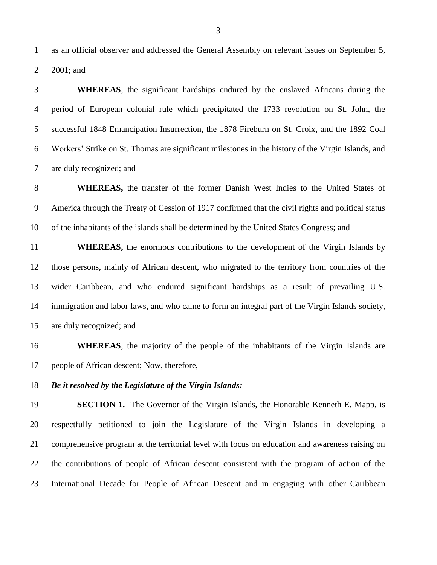as an official observer and addressed the General Assembly on relevant issues on September 5, 2001; and

 **WHEREAS**, the significant hardships endured by the enslaved Africans during the period of European colonial rule which precipitated the 1733 revolution on St. John, the successful 1848 Emancipation Insurrection, the 1878 Fireburn on St. Croix, and the 1892 Coal Workers' Strike on St. Thomas are significant milestones in the history of the Virgin Islands, and are duly recognized; and

 **WHEREAS,** the transfer of the former Danish West Indies to the United States of America through the Treaty of Cession of 1917 confirmed that the civil rights and political status of the inhabitants of the islands shall be determined by the United States Congress; and

 **WHEREAS,** the enormous contributions to the development of the Virgin Islands by those persons, mainly of African descent, who migrated to the territory from countries of the wider Caribbean, and who endured significant hardships as a result of prevailing U.S. immigration and labor laws, and who came to form an integral part of the Virgin Islands society, are duly recognized; and

 **WHEREAS**, the majority of the people of the inhabitants of the Virgin Islands are people of African descent; Now, therefore,

*Be it resolved by the Legislature of the Virgin Islands:*

**SECTION 1.** The Governor of the Virgin Islands, the Honorable Kenneth E. Mapp, is respectfully petitioned to join the Legislature of the Virgin Islands in developing a comprehensive program at the territorial level with focus on education and awareness raising on the contributions of people of African descent consistent with the program of action of the International Decade for People of African Descent and in engaging with other Caribbean